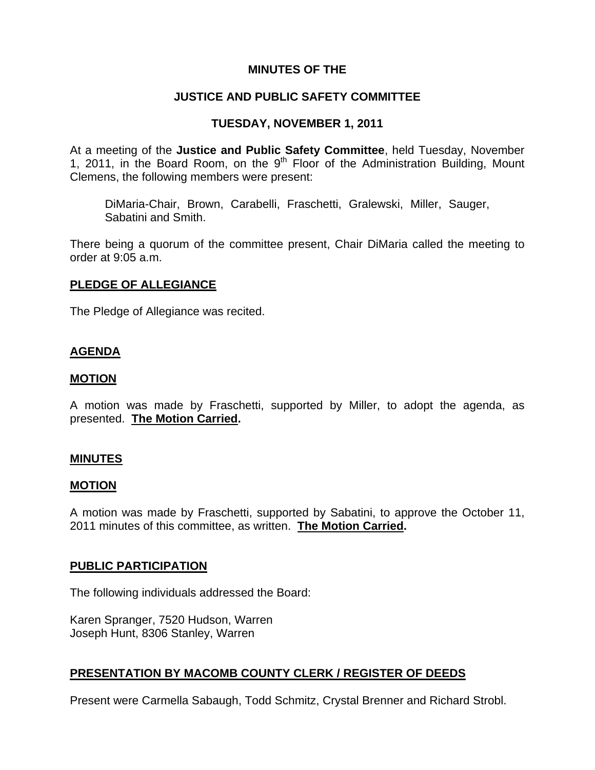# **MINUTES OF THE**

# **JUSTICE AND PUBLIC SAFETY COMMITTEE**

### **TUESDAY, NOVEMBER 1, 2011**

At a meeting of the **Justice and Public Safety Committee**, held Tuesday, November 1, 2011, in the Board Room, on the  $9<sup>th</sup>$  Floor of the Administration Building, Mount Clemens, the following members were present:

DiMaria-Chair, Brown, Carabelli, Fraschetti, Gralewski, Miller, Sauger, Sabatini and Smith.

There being a quorum of the committee present, Chair DiMaria called the meeting to order at 9:05 a.m.

### **PLEDGE OF ALLEGIANCE**

The Pledge of Allegiance was recited.

### **AGENDA**

#### **MOTION**

A motion was made by Fraschetti, supported by Miller, to adopt the agenda, as presented. **The Motion Carried.** 

#### **MINUTES**

#### **MOTION**

A motion was made by Fraschetti, supported by Sabatini, to approve the October 11, 2011 minutes of this committee, as written. **The Motion Carried.** 

#### **PUBLIC PARTICIPATION**

The following individuals addressed the Board:

Karen Spranger, 7520 Hudson, Warren Joseph Hunt, 8306 Stanley, Warren

# **PRESENTATION BY MACOMB COUNTY CLERK / REGISTER OF DEEDS**

Present were Carmella Sabaugh, Todd Schmitz, Crystal Brenner and Richard Strobl.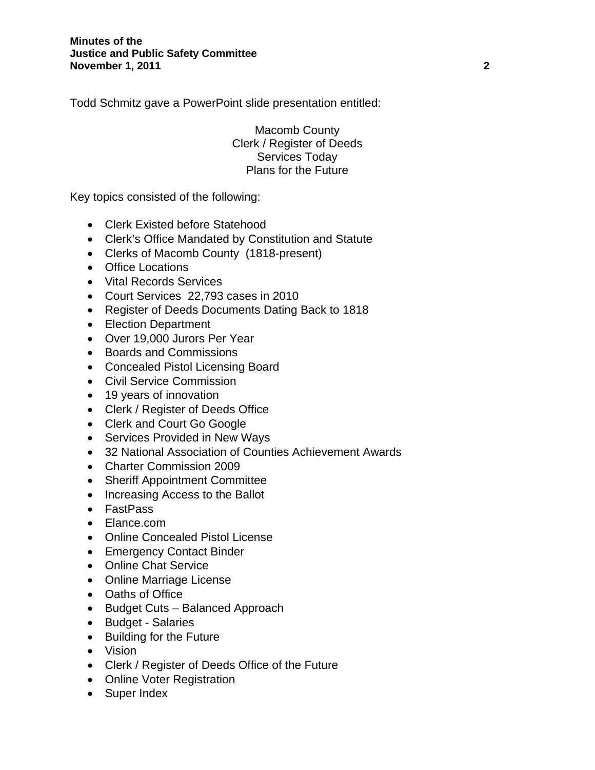Todd Schmitz gave a PowerPoint slide presentation entitled:

Macomb County Clerk / Register of Deeds Services Today Plans for the Future

Key topics consisted of the following:

- Clerk Existed before Statehood
- Clerk's Office Mandated by Constitution and Statute
- Clerks of Macomb County (1818-present)
- Office Locations
- Vital Records Services
- Court Services 22,793 cases in 2010
- Register of Deeds Documents Dating Back to 1818
- Election Department
- Over 19,000 Jurors Per Year
- Boards and Commissions
- Concealed Pistol Licensing Board
- Civil Service Commission
- 19 years of innovation
- Clerk / Register of Deeds Office
- Clerk and Court Go Google
- Services Provided in New Ways
- 32 National Association of Counties Achievement Awards
- Charter Commission 2009
- Sheriff Appointment Committee
- Increasing Access to the Ballot
- FastPass
- Elance.com
- Online Concealed Pistol License
- Emergency Contact Binder
- Online Chat Service
- Online Marriage License
- Oaths of Office
- Budget Cuts Balanced Approach
- Budget Salaries
- Building for the Future
- Vision
- Clerk / Register of Deeds Office of the Future
- Online Voter Registration
- Super Index